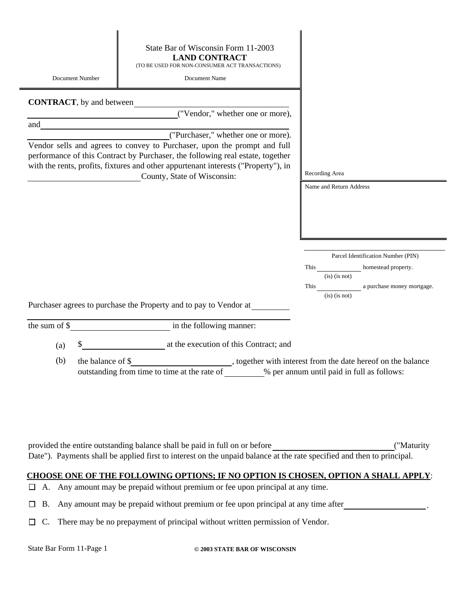| Document Number                  | State Bar of Wisconsin Form 11-2003<br><b>LAND CONTRACT</b><br>(TO BE USED FOR NON-CONSUMER ACT TRANSACTIONS)<br>Document Name                                                                                                                                                  |                                             |
|----------------------------------|---------------------------------------------------------------------------------------------------------------------------------------------------------------------------------------------------------------------------------------------------------------------------------|---------------------------------------------|
| <b>CONTRACT</b> , by and between |                                                                                                                                                                                                                                                                                 |                                             |
|                                  | ("Vendor," whether one or more),                                                                                                                                                                                                                                                |                                             |
|                                  |                                                                                                                                                                                                                                                                                 |                                             |
|                                  |                                                                                                                                                                                                                                                                                 |                                             |
|                                  | Vendor sells and agrees to convey to Purchaser, upon the prompt and full<br>performance of this Contract by Purchaser, the following real estate, together<br>with the rents, profits, fixtures and other appurtenant interests ("Property"), in<br>County, State of Wisconsin: | Recording Area                              |
|                                  |                                                                                                                                                                                                                                                                                 | Name and Return Address                     |
|                                  |                                                                                                                                                                                                                                                                                 |                                             |
|                                  |                                                                                                                                                                                                                                                                                 | Parcel Identification Number (PIN)          |
|                                  |                                                                                                                                                                                                                                                                                 | This homestead property.<br>$(is)$ (is not) |
|                                  |                                                                                                                                                                                                                                                                                 | a purchase money mortgage.<br>This          |
|                                  |                                                                                                                                                                                                                                                                                 | $(is)$ (is not)                             |
|                                  | Purchaser agrees to purchase the Property and to pay to Vendor at                                                                                                                                                                                                               |                                             |
|                                  |                                                                                                                                                                                                                                                                                 |                                             |
| (a)                              | at the execution of this Contract; and                                                                                                                                                                                                                                          |                                             |
| (b)<br>the balance of \$         | , together with interest from the date hereof on the balance<br>outstanding from time to time at the rate of                                                                                                                                                                    | % per annum until paid in full as follows:  |

provided the entire outstanding balance shall be paid in full on or before ("Maturity Date"). Payments shall be applied first to interest on the unpaid balance at the rate specified and then to principal.

### **CHOOSE ONE OF THE FOLLOWING OPTIONS; IF NO OPTION IS CHOSEN, OPTION A SHALL APPLY**:

- A. Any amount may be prepaid without premium or fee upon principal at any time.
- B. Any amount may be prepaid without premium or fee upon principal at any time after
- $\Box$  C. There may be no prepayment of principal without written permission of Vendor.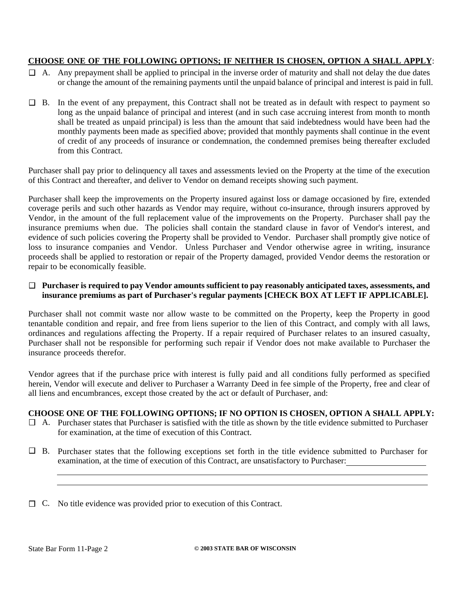## **CHOOSE ONE OF THE FOLLOWING OPTIONS; IF NEITHER IS CHOSEN, OPTION A SHALL APPLY**:

- A. Any prepayment shall be applied to principal in the inverse order of maturity and shall not delay the due dates or change the amount of the remaining payments until the unpaid balance of principal and interest is paid in full.
- B. In the event of any prepayment, this Contract shall not be treated as in default with respect to payment so long as the unpaid balance of principal and interest (and in such case accruing interest from month to month shall be treated as unpaid principal) is less than the amount that said indebtedness would have been had the monthly payments been made as specified above; provided that monthly payments shall continue in the event of credit of any proceeds of insurance or condemnation, the condemned premises being thereafter excluded from this Contract.

Purchaser shall pay prior to delinquency all taxes and assessments levied on the Property at the time of the execution of this Contract and thereafter, and deliver to Vendor on demand receipts showing such payment.

Purchaser shall keep the improvements on the Property insured against loss or damage occasioned by fire, extended coverage perils and such other hazards as Vendor may require, without co-insurance, through insurers approved by Vendor, in the amount of the full replacement value of the improvements on the Property. Purchaser shall pay the insurance premiums when due. The policies shall contain the standard clause in favor of Vendor's interest, and evidence of such policies covering the Property shall be provided to Vendor. Purchaser shall promptly give notice of loss to insurance companies and Vendor. Unless Purchaser and Vendor otherwise agree in writing, insurance proceeds shall be applied to restoration or repair of the Property damaged, provided Vendor deems the restoration or repair to be economically feasible.

#### **Purchaser is required to pay Vendor amounts sufficient to pay reasonably anticipated taxes, assessments, and insurance premiums as part of Purchaser's regular payments [CHECK BOX AT LEFT IF APPLICABLE].**

Purchaser shall not commit waste nor allow waste to be committed on the Property, keep the Property in good tenantable condition and repair, and free from liens superior to the lien of this Contract, and comply with all laws, ordinances and regulations affecting the Property. If a repair required of Purchaser relates to an insured casualty, Purchaser shall not be responsible for performing such repair if Vendor does not make available to Purchaser the insurance proceeds therefor.

Vendor agrees that if the purchase price with interest is fully paid and all conditions fully performed as specified herein, Vendor will execute and deliver to Purchaser a Warranty Deed in fee simple of the Property, free and clear of all liens and encumbrances, except those created by the act or default of Purchaser, and:

# **CHOOSE ONE OF THE FOLLOWING OPTIONS; IF NO OPTION IS CHOSEN, OPTION A SHALL APPLY:**

- A. Purchaser states that Purchaser is satisfied with the title as shown by the title evidence submitted to Purchaser for examination, at the time of execution of this Contract.
- B. Purchaser states that the following exceptions set forth in the title evidence submitted to Purchaser for examination, at the time of execution of this Contract, are unsatisfactory to Purchaser:

C. No title evidence was provided prior to execution of this Contract.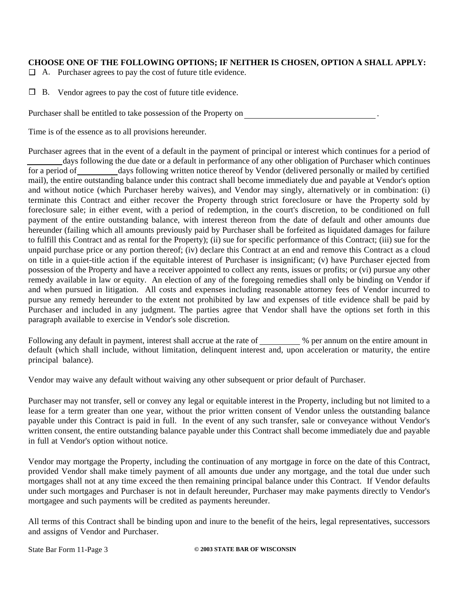#### **CHOOSE ONE OF THE FOLLOWING OPTIONS; IF NEITHER IS CHOSEN, OPTION A SHALL APPLY:**

A. Purchaser agrees to pay the cost of future title evidence.

Vendor agrees to pay the cost of future title evidence. B.

Purchaser shall be entitled to take possession of the Property on

Time is of the essence as to all provisions hereunder.

Purchaser agrees that in the event of a default in the payment of principal or interest which continues for a period of

.

days following the due date or a default in performance of any other obligation of Purchaser which continues for a period of days following written notice thereof by Vendor (delivered personally or mailed by certified mail), the entire outstanding balance under this contract shall become immediately due and payable at Vendor's option and without notice (which Purchaser hereby waives), and Vendor may singly, alternatively or in combination: (i) terminate this Contract and either recover the Property through strict foreclosure or have the Property sold by foreclosure sale; in either event, with a period of redemption, in the court's discretion, to be conditioned on full payment of the entire outstanding balance, with interest thereon from the date of default and other amounts due hereunder (failing which all amounts previously paid by Purchaser shall be forfeited as liquidated damages for failure to fulfill this Contract and as rental for the Property); (ii) sue for specific performance of this Contract; (iii) sue for the unpaid purchase price or any portion thereof; (iv) declare this Contract at an end and remove this Contract as a cloud on title in a quiet-title action if the equitable interest of Purchaser is insignificant; (v) have Purchaser ejected from possession of the Property and have a receiver appointed to collect any rents, issues or profits; or (vi) pursue any other remedy available in law or equity. An election of any of the foregoing remedies shall only be binding on Vendor if and when pursued in litigation. All costs and expenses including reasonable attorney fees of Vendor incurred to pursue any remedy hereunder to the extent not prohibited by law and expenses of title evidence shall be paid by Purchaser and included in any judgment. The parties agree that Vendor shall have the options set forth in this paragraph available to exercise in Vendor's sole discretion.

Following any default in payment, interest shall accrue at the rate of  $\sim$  % per annum on the entire amount in default (which shall include, without limitation, delinquent interest and, upon acceleration or maturity, the entire principal balance).

Vendor may waive any default without waiving any other subsequent or prior default of Purchaser.

Purchaser may not transfer, sell or convey any legal or equitable interest in the Property, including but not limited to a lease for a term greater than one year, without the prior written consent of Vendor unless the outstanding balance payable under this Contract is paid in full. In the event of any such transfer, sale or conveyance without Vendor's written consent, the entire outstanding balance payable under this Contract shall become immediately due and payable in full at Vendor's option without notice.

Vendor may mortgage the Property, including the continuation of any mortgage in force on the date of this Contract, provided Vendor shall make timely payment of all amounts due under any mortgage, and the total due under such mortgages shall not at any time exceed the then remaining principal balance under this Contract. If Vendor defaults under such mortgages and Purchaser is not in default hereunder, Purchaser may make payments directly to Vendor's mortgagee and such payments will be credited as payments hereunder.

All terms of this Contract shall be binding upon and inure to the benefit of the heirs, legal representatives, successors and assigns of Vendor and Purchaser.

State Bar Form 11-Page 3